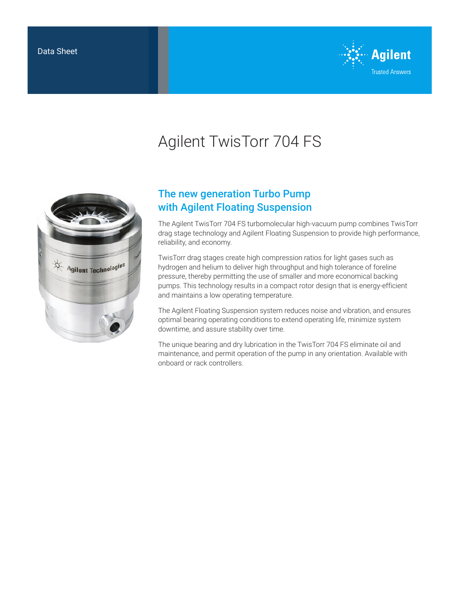

# Agilent TwisTorr 704 FS



## The new generation Turbo Pump with Agilent Floating Suspension

The Agilent TwisTorr 704 FS turbomolecular high-vacuum pump combines TwisTorr drag stage technology and Agilent Floating Suspension to provide high performance, reliability, and economy.

TwisTorr drag stages create high compression ratios for light gases such as hydrogen and helium to deliver high throughput and high tolerance of foreline pressure, thereby permitting the use of smaller and more economical backing pumps. This technology results in a compact rotor design that is energy-efficient and maintains a low operating temperature.

The Agilent Floating Suspension system reduces noise and vibration, and ensures optimal bearing operating conditions to extend operating life, minimize system downtime, and assure stability over time.

The unique bearing and dry lubrication in the TwisTorr 704 FS eliminate oil and maintenance, and permit operation of the pump in any orientation. Available with onboard or rack controllers.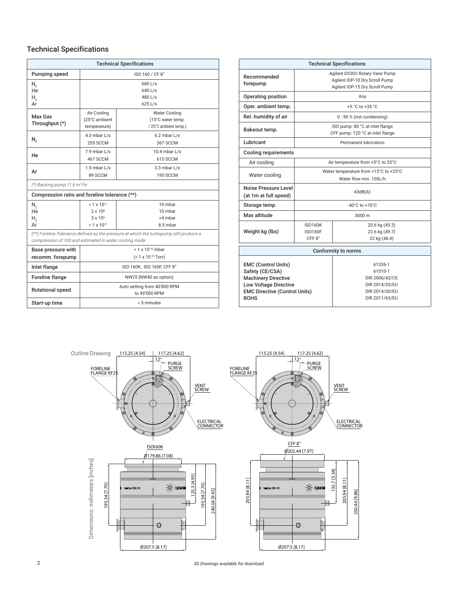#### Technical Specifications

| <b>Technical Specifications</b>                                                                                                                  |                                                                                    |                                                                   |  |  |
|--------------------------------------------------------------------------------------------------------------------------------------------------|------------------------------------------------------------------------------------|-------------------------------------------------------------------|--|--|
| Pumping speed                                                                                                                                    | ISO 160 / CF 8"                                                                    |                                                                   |  |  |
| $N_{2}$<br>He<br>Н,<br>Ar                                                                                                                        | $660$ L/s<br>$640$ L/s<br>480 $L/s$<br>625 L/s                                     |                                                                   |  |  |
| Max Gas<br>Throughput (*)                                                                                                                        | Air Cooling<br>(25°C ambient<br>temperature)                                       | <b>Water Cooling</b><br>(15°C water temp.<br>/25°C ambient temp.) |  |  |
| N,                                                                                                                                               | 4.3 mbar L/s<br><b>255 SCCM</b>                                                    | $6.2$ mbar $L/s$<br>367 SCCM                                      |  |  |
| He                                                                                                                                               | $7.9$ mbar $L/s$<br>467 SCCM                                                       | 10.4 mbar $L/s$<br>615 SCCM                                       |  |  |
| Ar                                                                                                                                               | 1.5 mbar L/s<br>89 SCCM                                                            | 3.3 mbar L/s<br>195 SCCM                                          |  |  |
| $(*)$ Backing pump 11.6 m <sup>3</sup> /hr                                                                                                       |                                                                                    |                                                                   |  |  |
| Compression ratio and foreline tolerance (**)                                                                                                    |                                                                                    |                                                                   |  |  |
| $N_{2}$<br>He<br>Н,<br>Ar                                                                                                                        | $> 1 \times 10^{11}$<br>$2 \times 10^8$<br>$3 \times 10^6$<br>$> 1 \times 10^{11}$ | 10 mbar<br>10 mbar<br>>4 mbar<br>8.5 mbar                         |  |  |
| (**) Foreline Tolerance defined as the pressure at which the turbopump still produce a<br>compression of 100 and estimated in water cooling mode |                                                                                    |                                                                   |  |  |
| Base pressure with<br>recomm. forepump                                                                                                           | $< 1 \times 10^{-10}$ mbar<br>(< 1 x 10-10 Torr)                                   |                                                                   |  |  |
| <b>Inlet flange</b>                                                                                                                              | ISO 160K, ISO 160F, CFF 8"                                                         |                                                                   |  |  |
| <b>Foreline flange</b>                                                                                                                           | NW25 (NW40 as option)                                                              |                                                                   |  |  |
| <b>Rotational speed</b>                                                                                                                          | Auto setting from 40'800 RPM<br>to 49'500 RPM                                      |                                                                   |  |  |
| Start-up time                                                                                                                                    | < 5 minutes                                                                        |                                                                   |  |  |

| <b>Technical Specifications</b>                                                                                                                                    |                                                                                                    |                                                                                            |  |  |  |
|--------------------------------------------------------------------------------------------------------------------------------------------------------------------|----------------------------------------------------------------------------------------------------|--------------------------------------------------------------------------------------------|--|--|--|
| Recommended<br>forepump                                                                                                                                            | Agilent DS302 Rotary Vane Pump<br>Agilent IDP-10 Dry Scroll Pump<br>Agilent IDP-15 Dry Scroll Pump |                                                                                            |  |  |  |
| Operating position                                                                                                                                                 | Any                                                                                                |                                                                                            |  |  |  |
| Oper. ambient temp.                                                                                                                                                | $+5 °C$ to $+35 °C$                                                                                |                                                                                            |  |  |  |
| Rel. humidity of air                                                                                                                                               | 0 - 90 % (not condensing)                                                                          |                                                                                            |  |  |  |
| Bakeout temp.                                                                                                                                                      | ISO pump: 80 °C at inlet flange<br>CFF pump: 120 °C at inlet flange                                |                                                                                            |  |  |  |
| Lubricant                                                                                                                                                          | Permanent lubrication                                                                              |                                                                                            |  |  |  |
| <b>Cooling requirements</b>                                                                                                                                        |                                                                                                    |                                                                                            |  |  |  |
| Air cooling                                                                                                                                                        | Air temperature from +5°C to 35°C                                                                  |                                                                                            |  |  |  |
| Water cooling                                                                                                                                                      | Water temperature from +15°C to +25°C<br>Water flow min. 100L/h                                    |                                                                                            |  |  |  |
| Noise Pressure Level<br>(at 1m at full speed)                                                                                                                      | 43dB(A)                                                                                            |                                                                                            |  |  |  |
| Storage temp.                                                                                                                                                      | $-40^{\circ}$ C to $+70^{\circ}$ C                                                                 |                                                                                            |  |  |  |
| Max altitude                                                                                                                                                       | 3000 m                                                                                             |                                                                                            |  |  |  |
| Weight kg (lbs)                                                                                                                                                    | <b>ISO160K</b><br><b>ISO160F</b><br>CFF <sub>8</sub> "                                             | 20.6 kg (45.3)<br>22.6 kg (49.7)<br>22 kg (48.4)                                           |  |  |  |
| Conformity to norms                                                                                                                                                |                                                                                                    |                                                                                            |  |  |  |
| <b>EMC (Control Units)</b><br>Safety (CE/CSA)<br><b>Machinery Directive</b><br><b>Low Voltage Directive</b><br><b>EMC Directive (Control Units)</b><br><b>ROHS</b> |                                                                                                    | 61326-1<br>61010-1<br>DIR 2006/42/CE<br>DIR 2014/35/EU<br>DIR 2014/30/EU<br>DIR 2011/65/EU |  |  |  |

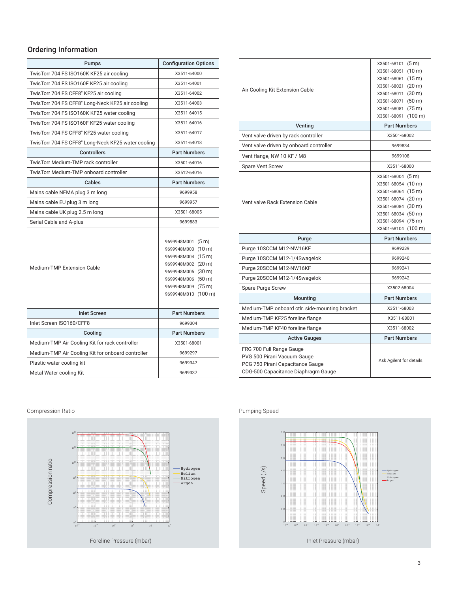### Ordering Information

| Pumps                                              | <b>Configuration Options</b>                                                                                                                                                 |
|----------------------------------------------------|------------------------------------------------------------------------------------------------------------------------------------------------------------------------------|
| TwisTorr 704 FS ISO160K KF25 air cooling           | X3511-64000                                                                                                                                                                  |
| TwisTorr 704 FS ISO160F KF25 air cooling           | X3511-64001                                                                                                                                                                  |
| TwisTorr 704 FS CFF8" KF25 air cooling             | X3511-64002                                                                                                                                                                  |
| TwisTorr 704 FS CFF8" Long-Neck KF25 air cooling   | X3511-64003                                                                                                                                                                  |
| TwisTorr 704 FS ISO160K KF25 water cooling         | X3511-64015                                                                                                                                                                  |
| TwisTorr 704 FS ISO160F KF25 water cooling         | X3511-64016                                                                                                                                                                  |
| TwisTorr 704 FS CFF8" KF25 water cooling           | X3511-64017                                                                                                                                                                  |
| TwisTorr 704 FS CFF8" Long-Neck KF25 water cooling | X3511-64018                                                                                                                                                                  |
| <b>Controllers</b>                                 | <b>Part Numbers</b>                                                                                                                                                          |
| TwisTorr Medium-TMP rack controller                | X3501-64016                                                                                                                                                                  |
| TwisTorr Medium-TMP onboard controller             | X3512-64016                                                                                                                                                                  |
| Cables                                             | <b>Part Numbers</b>                                                                                                                                                          |
| Mains cable NEMA plug 3 m long                     | 9699958                                                                                                                                                                      |
| Mains cable EU plug 3 m long                       | 9699957                                                                                                                                                                      |
| Mains cable UK plug 2.5 m long                     | X3501-68005                                                                                                                                                                  |
| Serial Cable and A-plus                            | 9699883                                                                                                                                                                      |
| <b>Medium-TMP Extension Cable</b>                  | 9699948M001 (5 m)<br>9699948M003 (10 m)<br>9699948M004 (15 m)<br>9699948M002 (20 m)<br>9699948M005 (30 m)<br>9699948M006 (50 m)<br>9699948M009 (75 m)<br>9699948M010 (100 m) |
| <b>Inlet Screen</b>                                | <b>Part Numbers</b>                                                                                                                                                          |
| Inlet Screen ISO160/CFF8                           | 9699304                                                                                                                                                                      |
| Cooling                                            | <b>Part Numbers</b>                                                                                                                                                          |
| Medium-TMP Air Cooling Kit for rack controller     | X3501-68001                                                                                                                                                                  |
| Medium-TMP Air Cooling Kit for onboard controller  | 9699297                                                                                                                                                                      |
| Plastic water cooling kit                          | 9699347                                                                                                                                                                      |
| Metal Water cooling Kit                            | 9699337                                                                                                                                                                      |

| Air Cooling Kit Extension Cable                                                                                                    | X3501-68101 (5 m)<br>X3501-68051 (10 m)<br>X3501-68061 (15 m)<br>X3501-68021 (20 m)<br>X3501-68011 (30 m)<br>X3501-68071 (50 m)<br>X3501-68081 (75 m)<br>X3501-68091 (100 m) |
|------------------------------------------------------------------------------------------------------------------------------------|------------------------------------------------------------------------------------------------------------------------------------------------------------------------------|
| Venting                                                                                                                            | <b>Part Numbers</b>                                                                                                                                                          |
| Vent valve driven by rack controller                                                                                               | X3501-68002                                                                                                                                                                  |
| Vent valve driven by onboard controller                                                                                            | 9699834                                                                                                                                                                      |
| Vent flange, NW 10 KF / M8                                                                                                         | 9699108                                                                                                                                                                      |
| <b>Spare Vent Screw</b>                                                                                                            | X3511-68000                                                                                                                                                                  |
| Vent valve Rack Extension Cable                                                                                                    | X3501-68004 (5 m)<br>X3501-68054 (10 m)<br>X3501-68064 (15 m)<br>X3501-68074 (20 m)<br>X3501-68084 (30 m)<br>X3501-68034 (50 m)<br>X3501-68094 (75 m)<br>X3501-68104 (100 m) |
| Purge                                                                                                                              | <b>Part Numbers</b>                                                                                                                                                          |
| Purge 10SCCM M12-NW16KF                                                                                                            | 9699239                                                                                                                                                                      |
| Purge 10SCCM M12-1/4Swagelok                                                                                                       | 9699240                                                                                                                                                                      |
| Purge 20SCCM M12-NW16KF                                                                                                            | 9699241                                                                                                                                                                      |
| Purge 20SCCM M12-1/4Swagelok                                                                                                       | 9699242                                                                                                                                                                      |
| Spare Purge Screw                                                                                                                  | X3502-68004                                                                                                                                                                  |
| <b>Mounting</b>                                                                                                                    | <b>Part Numbers</b>                                                                                                                                                          |
| Medium-TMP onboard ctlr. side-mounting bracket                                                                                     | X3511-68003                                                                                                                                                                  |
| Medium-TMP KF25 foreline flange                                                                                                    | X3511-68001                                                                                                                                                                  |
| Medium-TMP KF40 foreline flange                                                                                                    | X3511-68002                                                                                                                                                                  |
| <b>Active Gauges</b>                                                                                                               | <b>Part Numbers</b>                                                                                                                                                          |
| FRG 700 Full Range Gauge<br>PVG 500 Pirani Vacuum Gauge<br>PCG 750 Pirani Capacitance Gauge<br>CDG-500 Capacitance Diaphragm Gauge | Ask Agilent for details                                                                                                                                                      |

#### Pumping Speed



Compression Ratio